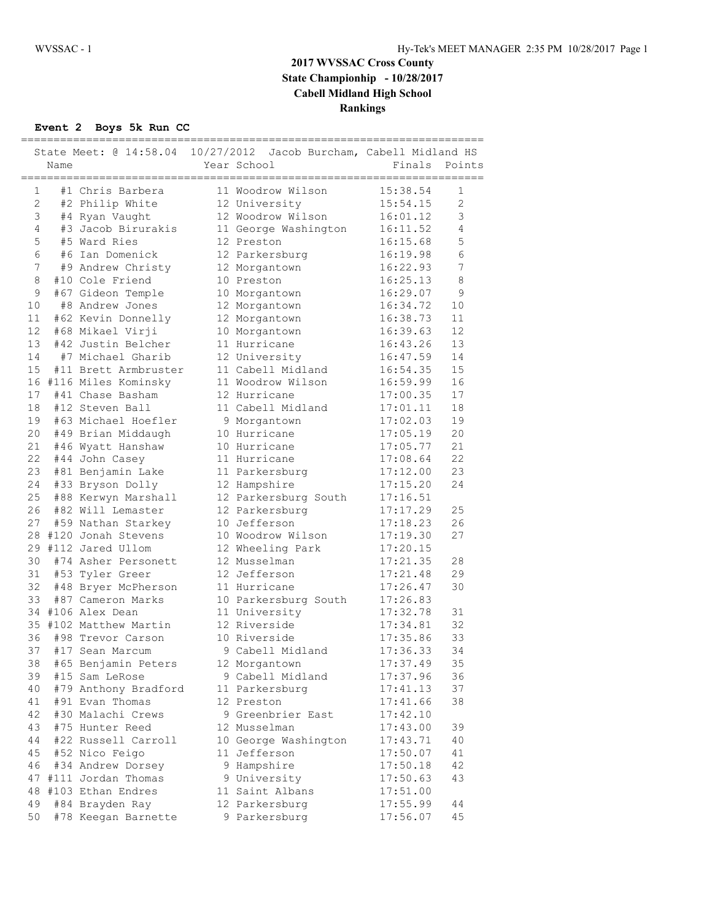## **2017 WVSSAC Cross County State Championhip - 10/28/2017 Cabell Midland High School Rankings**

### **Event 2 Boys 5k Run CC**

|                |      |                                               | State Meet: @ 14:58.04 10/27/2012 Jacob Burcham, Cabell Midland HS |          |                |  |  |
|----------------|------|-----------------------------------------------|--------------------------------------------------------------------|----------|----------------|--|--|
|                | Name |                                               | Year School                                                        | Finals   | Points         |  |  |
| $\mathbf{1}$   |      | ;========================<br>#1 Chris Barbera | 11 Woodrow Wilson                                                  | 15:38.54 | 1              |  |  |
| $\overline{2}$ |      | #2 Philip White                               | 12 University                                                      | 15:54.15 | $\overline{2}$ |  |  |
| 3              |      | #4 Ryan Vaught                                | 12 Woodrow Wilson                                                  | 16:01.12 | 3              |  |  |
| 4              |      | #3 Jacob Birurakis                            | 11 George Washington                                               | 16:11.52 | 4              |  |  |
| 5              |      | #5 Ward Ries                                  | 12 Preston                                                         | 16:15.68 | 5              |  |  |
| 6              |      | #6 Ian Domenick                               | 12 Parkersburg                                                     | 16:19.98 | 6              |  |  |
| 7              |      | #9 Andrew Christy                             | 12 Morgantown                                                      | 16:22.93 | 7              |  |  |
| 8              |      | #10 Cole Friend                               | 10 Preston                                                         | 16:25.13 | 8              |  |  |
| 9              |      | #67 Gideon Temple                             | 10 Morgantown                                                      | 16:29.07 | 9              |  |  |
| 10             |      | #8 Andrew Jones                               | 12 Morgantown                                                      | 16:34.72 | 10             |  |  |
| 11             |      | #62 Kevin Donnelly                            | 12 Morgantown                                                      | 16:38.73 | 11             |  |  |
| 12             |      | #68 Mikael Virji                              | 10 Morgantown                                                      | 16:39.63 | 12             |  |  |
| 13             |      | #42 Justin Belcher                            | 11 Hurricane                                                       | 16:43.26 | 13             |  |  |
| 14             |      | #7 Michael Gharib                             | 12 University                                                      | 16:47.59 | 14             |  |  |
| 15             |      | #11 Brett Armbruster                          | 11 Cabell Midland                                                  | 16:54.35 | 15             |  |  |
|                |      | 16 #116 Miles Kominsky                        | 11 Woodrow Wilson                                                  | 16:59.99 | 16             |  |  |
| 17             |      | #41 Chase Basham                              | 12 Hurricane                                                       | 17:00.35 | 17             |  |  |
| 18             |      | #12 Steven Ball                               | 11 Cabell Midland                                                  | 17:01.11 | 18             |  |  |
| 19             |      | #63 Michael Hoefler                           | 9 Morgantown                                                       | 17:02.03 | 19             |  |  |
| 20             |      | #49 Brian Middaugh                            | 10 Hurricane                                                       | 17:05.19 | 20             |  |  |
| 21             |      | #46 Wyatt Hanshaw                             | 10 Hurricane                                                       | 17:05.77 | 21             |  |  |
| 22             |      | #44 John Casey                                | 11 Hurricane                                                       | 17:08.64 | 22             |  |  |
| 23             |      | #81 Benjamin Lake                             | 11 Parkersburg                                                     | 17:12.00 | 23             |  |  |
| 24             |      | #33 Bryson Dolly                              | 12 Hampshire                                                       | 17:15.20 | 24             |  |  |
| 25             |      | #88 Kerwyn Marshall                           | 12 Parkersburg South                                               | 17:16.51 |                |  |  |
| 26             |      | #82 Will Lemaster                             | 12 Parkersburg                                                     | 17:17.29 | 25             |  |  |
| 27             |      | #59 Nathan Starkey                            | 10 Jefferson                                                       | 17:18.23 | 26             |  |  |
|                |      | 28 #120 Jonah Stevens                         | 10 Woodrow Wilson                                                  | 17:19.30 | 27             |  |  |
|                |      | 29 #112 Jared Ullom                           | 12 Wheeling Park                                                   | 17:20.15 |                |  |  |
| 30             |      | #74 Asher Personett                           | 12 Musselman                                                       | 17:21.35 | 28             |  |  |
| 31             |      | #53 Tyler Greer                               | 12 Jefferson                                                       | 17:21.48 | 29             |  |  |
| 32             |      | #48 Bryer McPherson                           | 11 Hurricane                                                       | 17:26.47 | 30             |  |  |
| 33             |      | #87 Cameron Marks                             | 10 Parkersburg South                                               | 17:26.83 |                |  |  |
|                |      | 34 #106 Alex Dean                             | 11 University                                                      | 17:32.78 | 31             |  |  |
|                |      | 35 #102 Matthew Martin                        | 12 Riverside                                                       | 17:34.81 | 32             |  |  |
| 36             |      | #98 Trevor Carson                             | 10 Riverside                                                       | 17:35.86 | 33             |  |  |
| 37             |      | #17 Sean Marcum                               | 9 Cabell Midland                                                   | 17:36.33 | 34             |  |  |
| 38             |      | #65 Benjamin Peters                           | 12 Morgantown                                                      | 17:37.49 | 35             |  |  |
| 39             |      | #15 Sam LeRose                                | 9 Cabell Midland                                                   | 17:37.96 | 36             |  |  |
| 40             |      | #79 Anthony Bradford                          | 11 Parkersburg                                                     | 17:41.13 | 37             |  |  |
| 41             |      | #91 Evan Thomas                               | 12 Preston                                                         | 17:41.66 | 38             |  |  |
| 42             |      | #30 Malachi Crews                             | 9 Greenbrier East                                                  | 17:42.10 |                |  |  |
| 43             |      | #75 Hunter Reed                               | 12 Musselman                                                       | 17:43.00 | 39             |  |  |
| 44             |      | #22 Russell Carroll                           | 10 George Washington                                               | 17:43.71 | 40             |  |  |
| 45             |      | #52 Nico Feigo                                | 11 Jefferson                                                       | 17:50.07 | 41             |  |  |
| 46             |      | #34 Andrew Dorsey                             | 9 Hampshire                                                        | 17:50.18 | 42             |  |  |
| 47             |      | #111 Jordan Thomas                            | 9 University                                                       | 17:50.63 | 43             |  |  |
| 48             |      | #103 Ethan Endres                             | 11 Saint Albans                                                    | 17:51.00 |                |  |  |
| 49             |      | #84 Brayden Ray                               | 12 Parkersburg                                                     | 17:55.99 | 44             |  |  |
| 50             |      | #78 Keegan Barnette                           | 9 Parkersburg                                                      | 17:56.07 | 45             |  |  |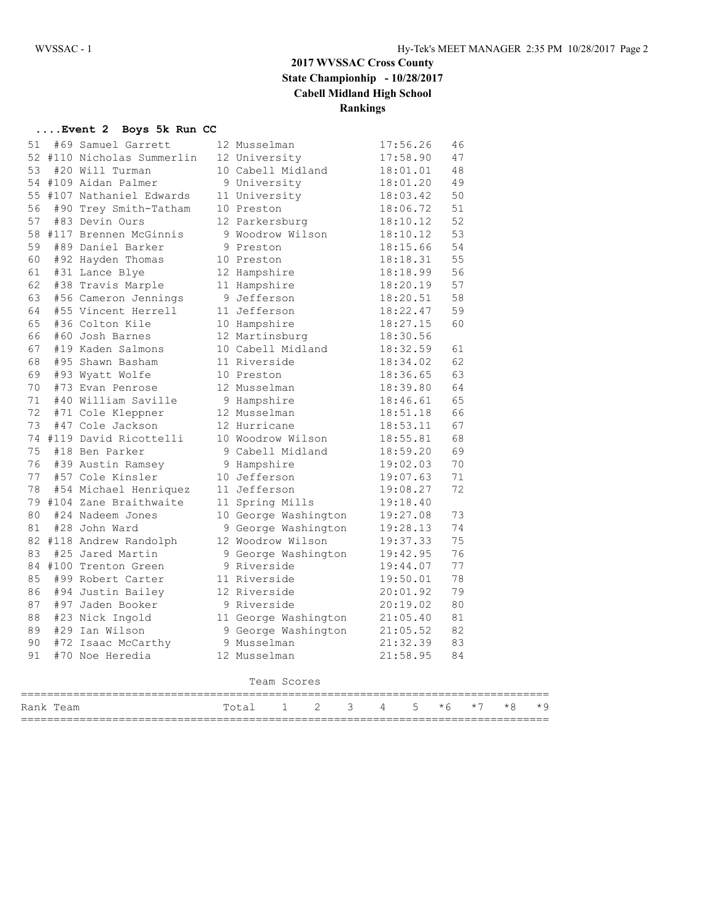## **2017 WVSSAC Cross County State Championhip - 10/28/2017 Cabell Midland High School Rankings**

### **....Event 2 Boys 5k Run CC**

| 51          |  | #69 Samuel Garrett                          |  | 12 Musselman                                                                                        | 17:56.26                 | 46 |  |  |  |  |
|-------------|--|---------------------------------------------|--|-----------------------------------------------------------------------------------------------------|--------------------------|----|--|--|--|--|
|             |  | 52 #110 Nicholas Summerlin                  |  | 12 University                                                                                       | 17:58.90                 | 47 |  |  |  |  |
| 53          |  | #20 Will Turman                             |  | 10 Cabell Midland                                                                                   | 18:01.01                 | 48 |  |  |  |  |
|             |  | 54 #109 Aidan Palmer                        |  | 9 University                                                                                        | 18:01.20                 | 49 |  |  |  |  |
|             |  | 55 #107 Nathaniel Edwards                   |  | 11 University 18:03.42                                                                              |                          | 50 |  |  |  |  |
| 56          |  | #90 Trey Smith-Tatham                       |  | 10 Preston                                                                                          | 18:06.72<br>18:10.12     | 51 |  |  |  |  |
| 57          |  | #83 Devin Ours                              |  | 12 Parkersburg                                                                                      |                          | 52 |  |  |  |  |
|             |  | 58 #117 Brennen McGinnis                    |  | 9 Woodrow Wilson 18:10.12                                                                           |                          | 53 |  |  |  |  |
| 59          |  | #89 Daniel Barker                           |  | 9 Preston                                                                                           | 18:15.66                 | 54 |  |  |  |  |
| 60          |  | #92 Hayden Thomas                           |  | 10 Preston                                                                                          | $18:18.31$<br>$18:18.99$ | 55 |  |  |  |  |
| 61          |  | #31 Lance Blye                              |  | 12 Hampshire                                                                                        |                          | 56 |  |  |  |  |
| 62          |  | #38 Travis Marple                           |  | 11 Hampshire 18:20.19                                                                               |                          | 57 |  |  |  |  |
| 63          |  | #56 Cameron Jennings<br>#55 Vincent Herrell |  | 9 Jefferson                                                                                         | 18:20.51                 | 58 |  |  |  |  |
| 64          |  |                                             |  | 11 Jefferson                                                                                        | 18:22.47                 | 59 |  |  |  |  |
| 65          |  | #36 Colton Kile                             |  | 10 Hampshire                                                                                        | 18:27.15                 | 60 |  |  |  |  |
| 66          |  | #60 Josh Barnes                             |  | 12 Martinsburg                                                                                      | 18:30.56                 |    |  |  |  |  |
| 67          |  | #19 Kaden Salmons                           |  | 12 marc-<br>10 Cabell Midland<br>11 Diverside                                                       | 18:32.59                 | 61 |  |  |  |  |
| 68          |  | #95 Shawn Basham                            |  | 11 Riverside                                                                                        | 18:34.02                 | 62 |  |  |  |  |
| 69          |  | #93 Wyatt Wolfe                             |  | 10 Preston                                                                                          | 18:36.65                 | 63 |  |  |  |  |
| 70          |  | #73 Evan Penrose                            |  | 12 Musselman                                                                                        | 18:39.80<br>18:46.61     | 64 |  |  |  |  |
| 71          |  | #40 William Saville                         |  | 9 Hampshire                                                                                         |                          | 65 |  |  |  |  |
| 72          |  | #71 Cole Kleppner 12 Musselman              |  |                                                                                                     | 18:51.18                 | 66 |  |  |  |  |
| 73          |  | #47 Cole Jackson                            |  | 12 Hurricane                                                                                        | 18:53.11                 | 67 |  |  |  |  |
|             |  | 74 #119 David Ricottelli                    |  |                                                                                                     |                          | 68 |  |  |  |  |
| 75          |  | #18 Ben Parker                              |  | 10 Woodrow Wilson 18:55.81<br>9 Cabell Midland 18:59.20                                             |                          | 69 |  |  |  |  |
| 76          |  | #39 Austin Ramsey                           |  | 9 Hampshire 19:02.03                                                                                |                          | 70 |  |  |  |  |
| 77          |  | #57 Cole Kinsler                            |  | 10 Jefferson                                                                                        | 19:07.63<br>19:08.27     | 71 |  |  |  |  |
| 78          |  | #54 Michael Henriquez                       |  | 11 Jefferson                                                                                        |                          | 72 |  |  |  |  |
|             |  | 79 #104 Zane Braithwaite                    |  | 11 Spring Mills 19:18.40                                                                            |                          |    |  |  |  |  |
| 80          |  | #24 Nadeem Jones                            |  | 10 George Washington 19:27.08                                                                       |                          | 73 |  |  |  |  |
|             |  |                                             |  |                                                                                                     |                          | 74 |  |  |  |  |
|             |  |                                             |  | 81 #28 John Ward 9 George Washington 19:28.13<br>82 #118 Andrew Randolph 12 Woodrow Wilson 19:37.33 |                          | 75 |  |  |  |  |
| 83          |  | #25 Jared Martin                            |  | 9 George Washington                                                                                 | 19:42.95                 | 76 |  |  |  |  |
|             |  | 84 #100 Trenton Green                       |  | 9 Riverside                                                                                         | 19:44.07                 | 77 |  |  |  |  |
| 85          |  | #99 Robert Carter                           |  | .<br>11 Riverside                                                                                   | 19:50.01                 | 78 |  |  |  |  |
| 86          |  | #94 Justin Bailey 12 Riverside              |  |                                                                                                     | 20:01.92                 | 79 |  |  |  |  |
| 87          |  | #97 Jaden Booker                            |  | 9 Riverside 20:19.02<br>11 George Washington 21:05.40                                               |                          | 80 |  |  |  |  |
| 88          |  | #23 Nick Ingold                             |  |                                                                                                     |                          | 81 |  |  |  |  |
| 89          |  | #29 Ian Wilson                              |  | 9 George Washington 21:05.52                                                                        |                          | 82 |  |  |  |  |
| 90          |  | #72 Isaac McCarthy                          |  | 9 Musselman                                                                                         | 21:32.39                 | 83 |  |  |  |  |
| 91          |  | #70 Noe Heredia                             |  | 12 Musselman                                                                                        | 21:58.95                 | 84 |  |  |  |  |
|             |  |                                             |  |                                                                                                     |                          |    |  |  |  |  |
| Team Scores |  |                                             |  |                                                                                                     |                          |    |  |  |  |  |
|             |  |                                             |  |                                                                                                     |                          |    |  |  |  |  |

| Rank Team |  | $1 \t2 \t3 \t4 \t5 \t\star 6 \t\star 7 \t\star 8$ |  |  |  | $\star$ 9 |
|-----------|--|---------------------------------------------------|--|--|--|-----------|
|           |  |                                                   |  |  |  |           |